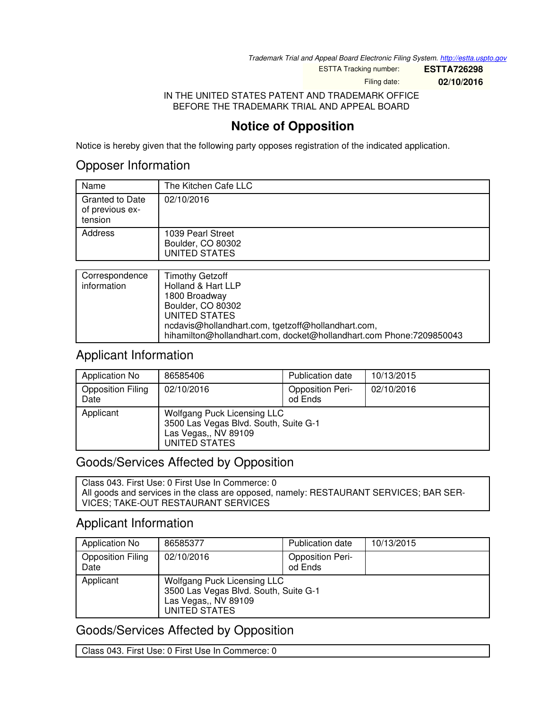*Trademark Trial and Appeal Board Electronic Filing System. <http://estta.uspto.gov>*

ESTTA Tracking number: **ESTTA726298**

Filing date: **02/10/2016**

IN THE UNITED STATES PATENT AND TRADEMARK OFFICE BEFORE THE TRADEMARK TRIAL AND APPEAL BOARD

# **Notice of Opposition**

Notice is hereby given that the following party opposes registration of the indicated application.

## Opposer Information

| Name                                                 | The Kitchen Cafe LLC                                           |
|------------------------------------------------------|----------------------------------------------------------------|
| <b>Granted to Date</b><br>of previous ex-<br>tension | 02/10/2016                                                     |
| Address                                              | 1039 Pearl Street<br>Boulder, CO 80302<br><b>UNITED STATES</b> |
|                                                      |                                                                |
| Carrognaphanan                                       | $T$ ina a theo $C$ a that $\mu$                                |

| Correspondence | <b>Timothy Getzoff</b>                                              |
|----------------|---------------------------------------------------------------------|
| information    | Holland & Hart LLP                                                  |
|                | 1800 Broadway                                                       |
|                | Boulder, CO 80302                                                   |
|                | UNITED STATES                                                       |
|                | ncdavis@hollandhart.com, tgetzoff@hollandhart.com,                  |
|                | hihamilton@hollandhart.com, docket@hollandhart.com Phone:7209850043 |

## Applicant Information

| Application No                   | 86585406                                                                                                      | Publication date                   | 10/13/2015 |
|----------------------------------|---------------------------------------------------------------------------------------------------------------|------------------------------------|------------|
| <b>Opposition Filing</b><br>Date | 02/10/2016                                                                                                    | <b>Opposition Peri-</b><br>od Ends | 02/10/2016 |
| Applicant                        | Wolfgang Puck Licensing LLC<br>3500 Las Vegas Blvd. South, Suite G-1<br>Las Vegas,, NV 89109<br>UNITED STATES |                                    |            |

# Goods/Services Affected by Opposition

Class 043. First Use: 0 First Use In Commerce: 0 All goods and services in the class are opposed, namely: RESTAURANT SERVICES; BAR SER-VICES; TAKE-OUT RESTAURANT SERVICES

## Applicant Information

| Application No                   | 86585377                                                                                                      | Publication date                   | 10/13/2015 |
|----------------------------------|---------------------------------------------------------------------------------------------------------------|------------------------------------|------------|
| <b>Opposition Filing</b><br>Date | 02/10/2016                                                                                                    | <b>Opposition Peri-</b><br>od Ends |            |
| Applicant                        | Wolfgang Puck Licensing LLC<br>3500 Las Vegas Blvd. South, Suite G-1<br>Las Vegas,, NV 89109<br>UNITED STATES |                                    |            |

# Goods/Services Affected by Opposition

Class 043. First Use: 0 First Use In Commerce: 0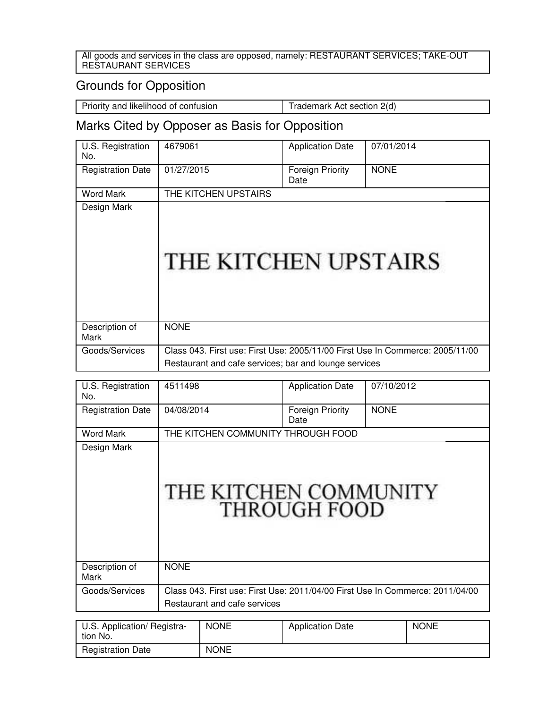#### All goods and services in the class are opposed, namely: RESTAURANT SERVICES; TAKE-OUT RESTAURANT SERVICES

# Grounds for Opposition

Priority and likelihood of confusion Trademark Act section 2(d)

# Marks Cited by Opposer as Basis for Opposition

| U.S. Registration<br>No. | 4679061                                                                                                                                | <b>Application Date</b>         | 07/01/2014  |
|--------------------------|----------------------------------------------------------------------------------------------------------------------------------------|---------------------------------|-------------|
| <b>Registration Date</b> | 01/27/2015                                                                                                                             | <b>Foreign Priority</b><br>Date | <b>NONE</b> |
| <b>Word Mark</b>         | THE KITCHEN UPSTAIRS                                                                                                                   |                                 |             |
| Design Mark              | THE KITCHEN UPSTAIRS                                                                                                                   |                                 |             |
| Description of<br>Mark   | <b>NONE</b>                                                                                                                            |                                 |             |
| Goods/Services           | Class 043. First use: First Use: 2005/11/00 First Use In Commerce: 2005/11/00<br>Restaurant and cafe services; bar and lounge services |                                 |             |
|                          |                                                                                                                                        |                                 |             |
| U.S. Registration<br>No. | 4511498                                                                                                                                | <b>Application Date</b>         | 07/10/2012  |
| <b>Registration Date</b> | 04/08/2014                                                                                                                             | Foreign Priority<br>Date        | <b>NONE</b> |
| <b>Word Mark</b>         | THE KITCHEN COMMUNITY THROUGH FOOD                                                                                                     |                                 |             |

| Design Mark            | THE KITCHEN COMMUNITY<br><b>THROUGH FOOD</b>                                  |
|------------------------|-------------------------------------------------------------------------------|
| Description of<br>Mark | <b>NONE</b>                                                                   |
| Goods/Services         | Class 043. First use: First Use: 2011/04/00 First Use In Commerce: 2011/04/00 |
|                        | Restaurant and cafe services                                                  |

| U.S. Application/ Registra-<br>tion No. | <b>NONE</b> | <b>Application Date</b> | <b>NONE</b> |
|-----------------------------------------|-------------|-------------------------|-------------|
| <b>Registration Date</b>                | <b>NONE</b> |                         |             |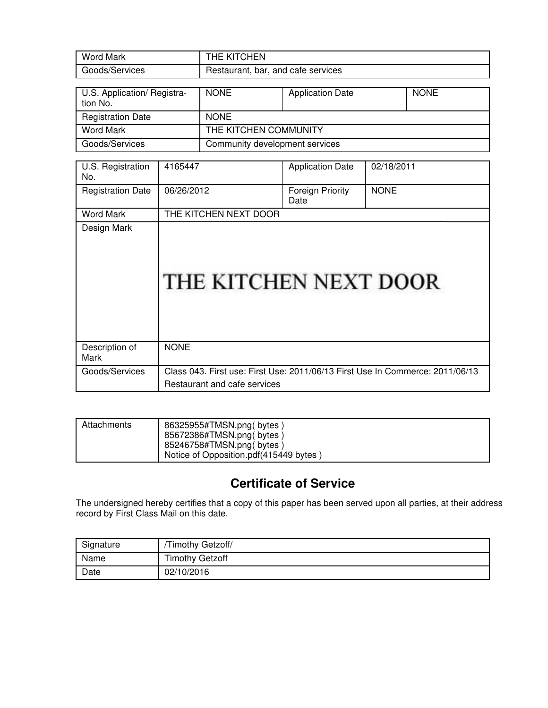| <b>Word Mark</b>                        | THE KITCHEN                        |                         |             |
|-----------------------------------------|------------------------------------|-------------------------|-------------|
| Goods/Services                          | Restaurant, bar, and cafe services |                         |             |
|                                         |                                    |                         |             |
| U.S. Application/ Registra-<br>tion No. | <b>NONE</b>                        | <b>Application Date</b> | <b>NONE</b> |
| <b>Registration Date</b>                | <b>NONE</b>                        |                         |             |
| <b>Word Mark</b>                        | THE KITCHEN COMMUNITY              |                         |             |
| Goods/Services                          | Community development services     |                         |             |

| U.S. Registration<br>No. | 4165447                                                                                                       | <b>Application Date</b>         | 02/18/2011  |
|--------------------------|---------------------------------------------------------------------------------------------------------------|---------------------------------|-------------|
| <b>Registration Date</b> | 06/26/2012                                                                                                    | <b>Foreign Priority</b><br>Date | <b>NONE</b> |
| Word Mark                | THE KITCHEN NEXT DOOR                                                                                         |                                 |             |
| Design Mark              | THE KITCHEN NEXT DOOR                                                                                         |                                 |             |
| Description of<br>Mark   | <b>NONE</b>                                                                                                   |                                 |             |
| Goods/Services           | Class 043. First use: First Use: 2011/06/13 First Use In Commerce: 2011/06/13<br>Restaurant and cafe services |                                 |             |

| Attachments | 86325955#TMSN.png(bytes)<br>85672386#TMSN.png(bytes)               |
|-------------|--------------------------------------------------------------------|
|             | 85246758#TMSN.png(bytes)<br>Notice of Opposition.pdf(415449 bytes) |

# **Certificate of Service**

The undersigned hereby certifies that a copy of this paper has been served upon all parties, at their address record by First Class Mail on this date.

| Signature | Timothy Getzoff/       |
|-----------|------------------------|
| Name      | <b>Timothy Getzoff</b> |
| Date      | 02/10/2016             |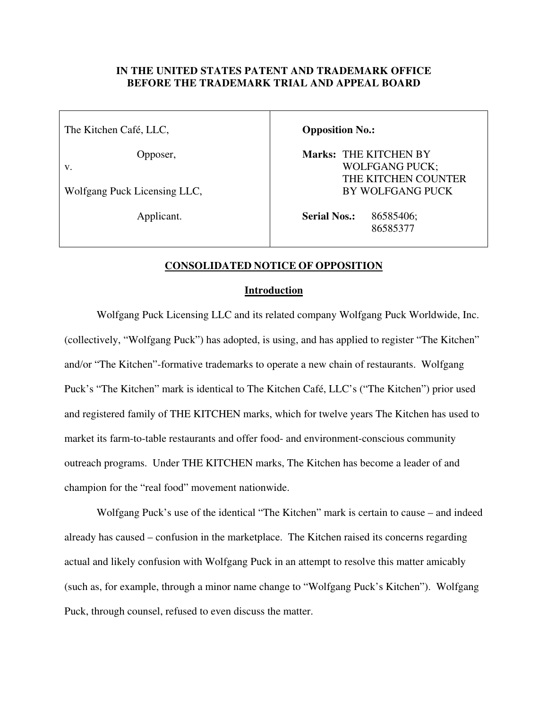### **IN THE UNITED STATES PATENT AND TRADEMARK OFFICE BEFORE THE TRADEMARK TRIAL AND APPEAL BOARD**

The Kitchen Café, LLC,

Opposer,

v.

Wolfgang Puck Licensing LLC,

Applicant.

**Opposition No.:** 

**Marks:** THE KITCHEN BY WOLFGANG PUCK; THE KITCHEN COUNTER BY WOLFGANG PUCK

**Serial Nos.:** 86585406; and the state of the state of the state of the state of the state of the state of the state of the state of the state of the state of the state of the state of the state of the state of the state of the state of the state

### **CONSOLIDATED NOTICE OF OPPOSITION**

#### **Introduction**

Wolfgang Puck Licensing LLC and its related company Wolfgang Puck Worldwide, Inc. (collectively, "Wolfgang Puck") has adopted, is using, and has applied to register "The Kitchen" and/or "The Kitchen"-formative trademarks to operate a new chain of restaurants. Wolfgang Puck's "The Kitchen" mark is identical to The Kitchen Café, LLC's ("The Kitchen") prior used and registered family of THE KITCHEN marks, which for twelve years The Kitchen has used to market its farm-to-table restaurants and offer food- and environment-conscious community outreach programs. Under THE KITCHEN marks, The Kitchen has become a leader of and champion for the "real food" movement nationwide.

Wolfgang Puck's use of the identical "The Kitchen" mark is certain to cause – and indeed already has caused – confusion in the marketplace. The Kitchen raised its concerns regarding actual and likely confusion with Wolfgang Puck in an attempt to resolve this matter amicably (such as, for example, through a minor name change to "Wolfgang Puck's Kitchen"). Wolfgang Puck, through counsel, refused to even discuss the matter.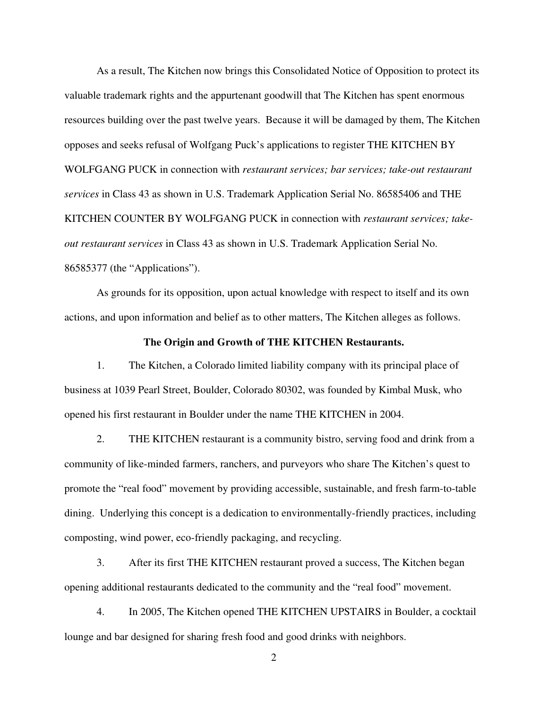As a result, The Kitchen now brings this Consolidated Notice of Opposition to protect its valuable trademark rights and the appurtenant goodwill that The Kitchen has spent enormous resources building over the past twelve years. Because it will be damaged by them, The Kitchen opposes and seeks refusal of Wolfgang Puck's applications to register THE KITCHEN BY WOLFGANG PUCK in connection with *restaurant services; bar services; take-out restaurant services* in Class 43 as shown in U.S. Trademark Application Serial No. 86585406 and THE KITCHEN COUNTER BY WOLFGANG PUCK in connection with *restaurant services; takeout restaurant services* in Class 43 as shown in U.S. Trademark Application Serial No. 86585377 (the "Applications").

As grounds for its opposition, upon actual knowledge with respect to itself and its own actions, and upon information and belief as to other matters, The Kitchen alleges as follows.

#### **The Origin and Growth of THE KITCHEN Restaurants.**

1. The Kitchen, a Colorado limited liability company with its principal place of business at 1039 Pearl Street, Boulder, Colorado 80302, was founded by Kimbal Musk, who opened his first restaurant in Boulder under the name THE KITCHEN in 2004.

2. THE KITCHEN restaurant is a community bistro, serving food and drink from a community of like-minded farmers, ranchers, and purveyors who share The Kitchen's quest to promote the "real food" movement by providing accessible, sustainable, and fresh farm-to-table dining. Underlying this concept is a dedication to environmentally-friendly practices, including composting, wind power, eco-friendly packaging, and recycling.

3. After its first THE KITCHEN restaurant proved a success, The Kitchen began opening additional restaurants dedicated to the community and the "real food" movement.

4. In 2005, The Kitchen opened THE KITCHEN UPSTAIRS in Boulder, a cocktail lounge and bar designed for sharing fresh food and good drinks with neighbors.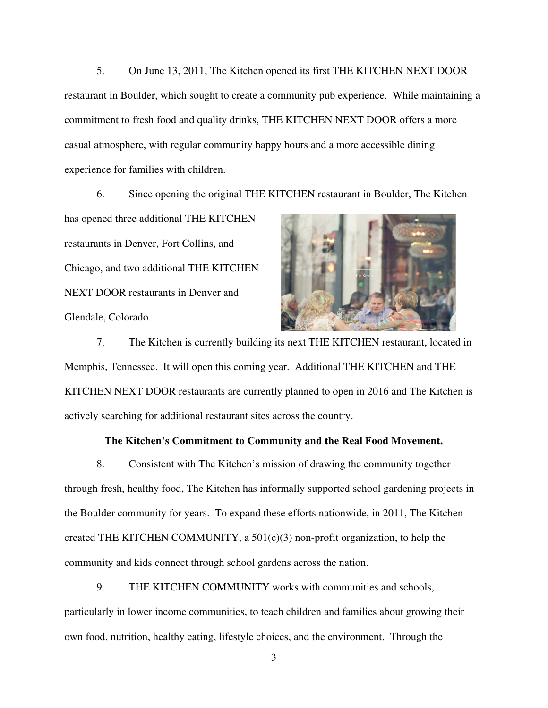5. On June 13, 2011, The Kitchen opened its first THE KITCHEN NEXT DOOR restaurant in Boulder, which sought to create a community pub experience. While maintaining a commitment to fresh food and quality drinks, THE KITCHEN NEXT DOOR offers a more casual atmosphere, with regular community happy hours and a more accessible dining experience for families with children.

6. Since opening the original THE KITCHEN restaurant in Boulder, The Kitchen

has opened three additional THE KITCHEN restaurants in Denver, Fort Collins, and Chicago, and two additional THE KITCHEN NEXT DOOR restaurants in Denver and Glendale, Colorado.



7. The Kitchen is currently building its next THE KITCHEN restaurant, located in Memphis, Tennessee. It will open this coming year. Additional THE KITCHEN and THE KITCHEN NEXT DOOR restaurants are currently planned to open in 2016 and The Kitchen is actively searching for additional restaurant sites across the country.

#### **The Kitchen's Commitment to Community and the Real Food Movement.**

8. Consistent with The Kitchen's mission of drawing the community together through fresh, healthy food, The Kitchen has informally supported school gardening projects in the Boulder community for years. To expand these efforts nationwide, in 2011, The Kitchen created THE KITCHEN COMMUNITY, a  $501(c)(3)$  non-profit organization, to help the community and kids connect through school gardens across the nation.

9. THE KITCHEN COMMUNITY works with communities and schools, particularly in lower income communities, to teach children and families about growing their own food, nutrition, healthy eating, lifestyle choices, and the environment. Through the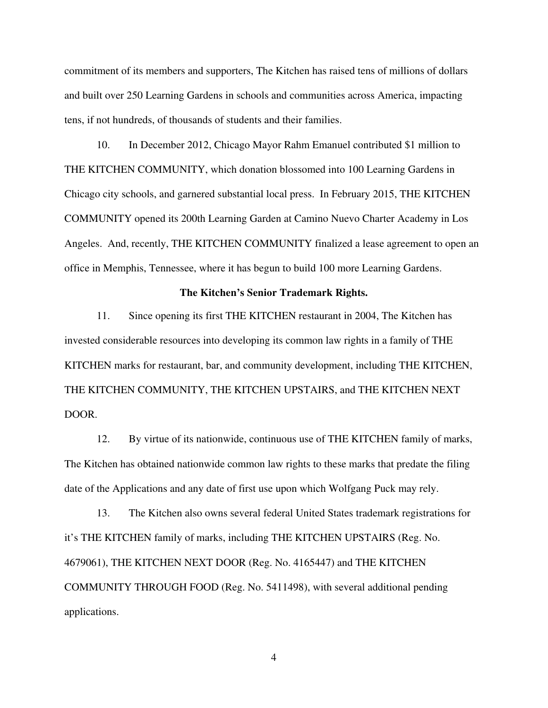commitment of its members and supporters, The Kitchen has raised tens of millions of dollars and built over 250 Learning Gardens in schools and communities across America, impacting tens, if not hundreds, of thousands of students and their families.

10. In December 2012, Chicago Mayor Rahm Emanuel contributed \$1 million to THE KITCHEN COMMUNITY, which donation blossomed into 100 Learning Gardens in Chicago city schools, and garnered substantial local press. In February 2015, THE KITCHEN COMMUNITY opened its 200th Learning Garden at Camino Nuevo Charter Academy in Los Angeles. And, recently, THE KITCHEN COMMUNITY finalized a lease agreement to open an office in Memphis, Tennessee, where it has begun to build 100 more Learning Gardens.

#### **The Kitchen's Senior Trademark Rights.**

11. Since opening its first THE KITCHEN restaurant in 2004, The Kitchen has invested considerable resources into developing its common law rights in a family of THE KITCHEN marks for restaurant, bar, and community development, including THE KITCHEN, THE KITCHEN COMMUNITY, THE KITCHEN UPSTAIRS, and THE KITCHEN NEXT DOOR.

12. By virtue of its nationwide, continuous use of THE KITCHEN family of marks, The Kitchen has obtained nationwide common law rights to these marks that predate the filing date of the Applications and any date of first use upon which Wolfgang Puck may rely.

13. The Kitchen also owns several federal United States trademark registrations for it's THE KITCHEN family of marks, including THE KITCHEN UPSTAIRS (Reg. No. 4679061), THE KITCHEN NEXT DOOR (Reg. No. 4165447) and THE KITCHEN COMMUNITY THROUGH FOOD (Reg. No. 5411498), with several additional pending applications.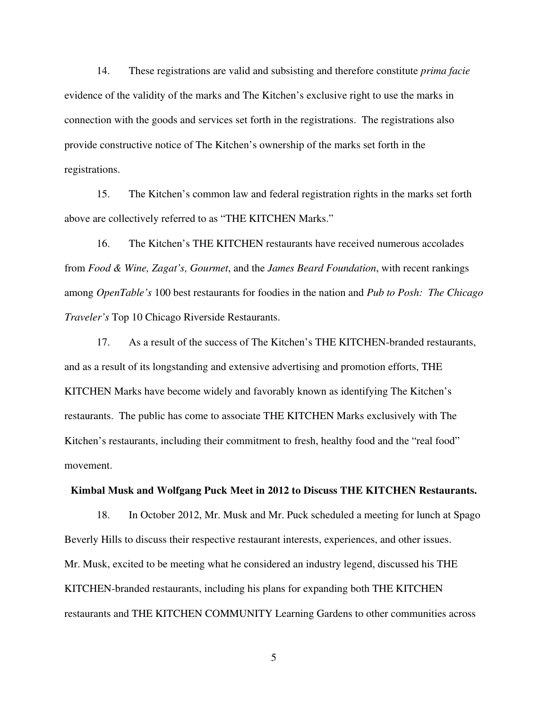14. These registrations are valid and subsisting and therefore constitute *prima facie*  evidence of the validity of the marks and The Kitchen's exclusive right to use the marks in connection with the goods and services set forth in the registrations. The registrations also provide constructive notice of The Kitchen's ownership of the marks set forth in the registrations.

15. The Kitchen's common law and federal registration rights in the marks set forth above are collectively referred to as "THE KITCHEN Marks."

16. The Kitchen's THE KITCHEN restaurants have received numerous accolades from *Food & Wine, Zagat's, Gourmet*, and the *James Beard Foundation*, with recent rankings among *OpenTable's* 100 best restaurants for foodies in the nation and *Pub to Posh: The Chicago Traveler's* Top 10 Chicago Riverside Restaurants.

17. As a result of the success of The Kitchen's THE KITCHEN-branded restaurants, and as a result of its longstanding and extensive advertising and promotion efforts, THE KITCHEN Marks have become widely and favorably known as identifying The Kitchen's restaurants. The public has come to associate THE KITCHEN Marks exclusively with The Kitchen's restaurants, including their commitment to fresh, healthy food and the "real food" movement.

#### **Kimbal Musk and Wolfgang Puck Meet in 2012 to Discuss THE KITCHEN Restaurants.**

18. In October 2012, Mr. Musk and Mr. Puck scheduled a meeting for lunch at Spago Beverly Hills to discuss their respective restaurant interests, experiences, and other issues. Mr. Musk, excited to be meeting what he considered an industry legend, discussed his THE KITCHEN-branded restaurants, including his plans for expanding both THE KITCHEN restaurants and THE KITCHEN COMMUNITY Learning Gardens to other communities across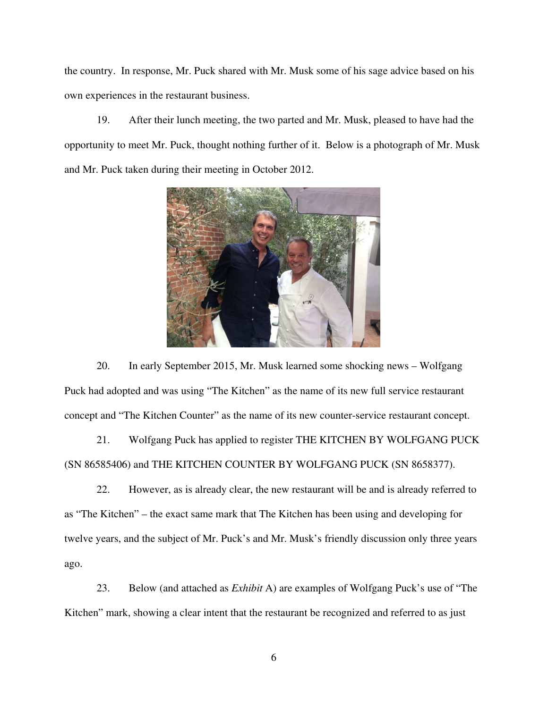the country. In response, Mr. Puck shared with Mr. Musk some of his sage advice based on his own experiences in the restaurant business.

19. After their lunch meeting, the two parted and Mr. Musk, pleased to have had the opportunity to meet Mr. Puck, thought nothing further of it. Below is a photograph of Mr. Musk and Mr. Puck taken during their meeting in October 2012.



20. In early September 2015, Mr. Musk learned some shocking news – Wolfgang Puck had adopted and was using "The Kitchen" as the name of its new full service restaurant concept and "The Kitchen Counter" as the name of its new counter-service restaurant concept.

21. Wolfgang Puck has applied to register THE KITCHEN BY WOLFGANG PUCK (SN 86585406) and THE KITCHEN COUNTER BY WOLFGANG PUCK (SN 8658377).

22. However, as is already clear, the new restaurant will be and is already referred to as "The Kitchen" – the exact same mark that The Kitchen has been using and developing for twelve years, and the subject of Mr. Puck's and Mr. Musk's friendly discussion only three years ago.

23. Below (and attached as *Exhibit* A) are examples of Wolfgang Puck's use of "The Kitchen" mark, showing a clear intent that the restaurant be recognized and referred to as just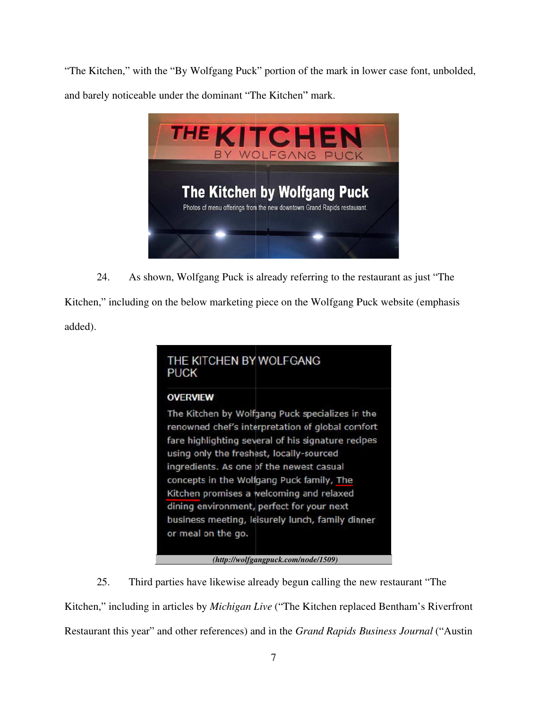"The Kitchen," with the "By Wolfgang Puck" portion of the mark in lower case font, unbolded,

and barely noticeable under the dominant "The Kitchen" mark.



24. 4. As shown, Wolfgang Puck is already referring to the restaurant as just "The

Kitchen," including on the below marketing piece on the Wolfgang Puck website (emphasis added).

## THE KITCHEN BY WOLFGANG **PUCK**

## **OVERVIEW**

The Kitchen by Wolfgang Puck specializes in the renowned chef's interpretation of global comfort fare highlighting several of his signature recipes using only the freshest, locally-sourced ingredients. As one of the newest casual concepts in the Wolfgang Puck family, The Kitchen promises a welcoming and relaxed dining environment, perfect for your next business meeting, leisurely lunch, family dinner or meal on the go.

(http://wolfgangpuck.com/node/1509)

25. Kitchen," including in articles by *Michigan Live* ("The Kitchen replaced Bentham's Riverfront Restaurant this year" and other references) and in the *Grand Rapids Business Journal* ("Austin 5. Third parties have likewise already begun calling the new restaurant "The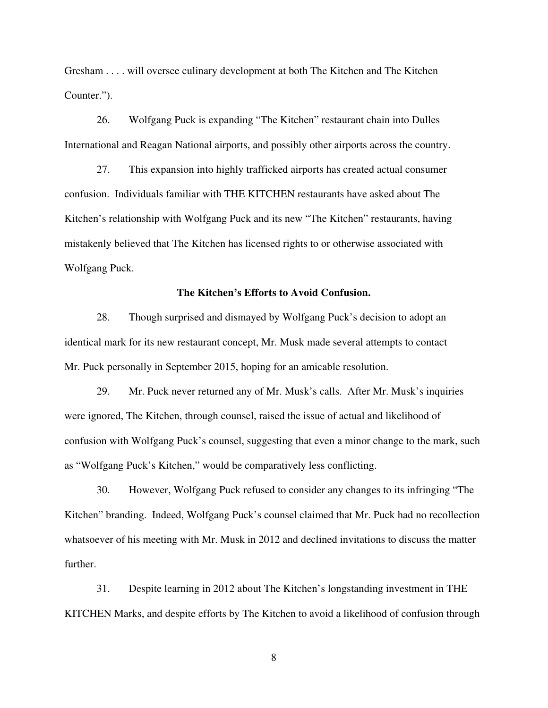Gresham . . . . will oversee culinary development at both The Kitchen and The Kitchen Counter.").

26. Wolfgang Puck is expanding "The Kitchen" restaurant chain into Dulles International and Reagan National airports, and possibly other airports across the country.

27. This expansion into highly trafficked airports has created actual consumer confusion. Individuals familiar with THE KITCHEN restaurants have asked about The Kitchen's relationship with Wolfgang Puck and its new "The Kitchen" restaurants, having mistakenly believed that The Kitchen has licensed rights to or otherwise associated with Wolfgang Puck.

#### **The Kitchen's Efforts to Avoid Confusion.**

28. Though surprised and dismayed by Wolfgang Puck's decision to adopt an identical mark for its new restaurant concept, Mr. Musk made several attempts to contact Mr. Puck personally in September 2015, hoping for an amicable resolution.

29. Mr. Puck never returned any of Mr. Musk's calls. After Mr. Musk's inquiries were ignored, The Kitchen, through counsel, raised the issue of actual and likelihood of confusion with Wolfgang Puck's counsel, suggesting that even a minor change to the mark, such as "Wolfgang Puck's Kitchen," would be comparatively less conflicting.

30. However, Wolfgang Puck refused to consider any changes to its infringing "The Kitchen" branding. Indeed, Wolfgang Puck's counsel claimed that Mr. Puck had no recollection whatsoever of his meeting with Mr. Musk in 2012 and declined invitations to discuss the matter further.

31. Despite learning in 2012 about The Kitchen's longstanding investment in THE KITCHEN Marks, and despite efforts by The Kitchen to avoid a likelihood of confusion through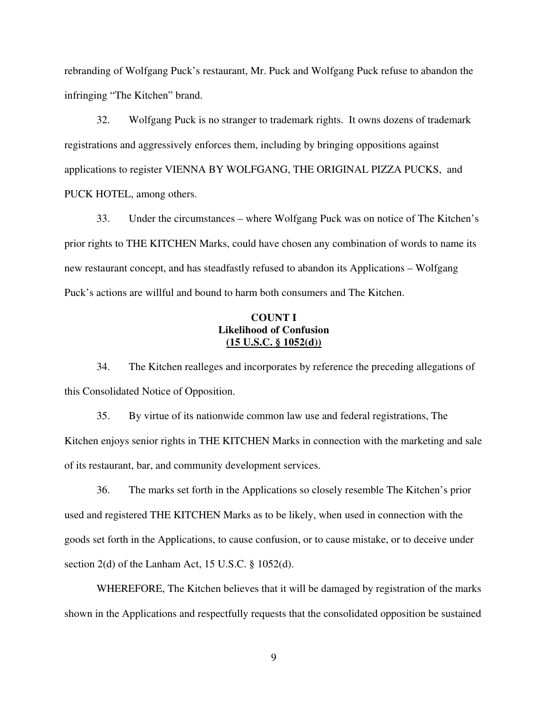rebranding of Wolfgang Puck's restaurant, Mr. Puck and Wolfgang Puck refuse to abandon the infringing "The Kitchen" brand.

32. Wolfgang Puck is no stranger to trademark rights. It owns dozens of trademark registrations and aggressively enforces them, including by bringing oppositions against applications to register VIENNA BY WOLFGANG, THE ORIGINAL PIZZA PUCKS, and PUCK HOTEL, among others.

33. Under the circumstances – where Wolfgang Puck was on notice of The Kitchen's prior rights to THE KITCHEN Marks, could have chosen any combination of words to name its new restaurant concept, and has steadfastly refused to abandon its Applications – Wolfgang Puck's actions are willful and bound to harm both consumers and The Kitchen.

## **COUNT I Likelihood of Confusion (15 U.S.C. § 1052(d))**

34. The Kitchen realleges and incorporates by reference the preceding allegations of this Consolidated Notice of Opposition.

35. By virtue of its nationwide common law use and federal registrations, The Kitchen enjoys senior rights in THE KITCHEN Marks in connection with the marketing and sale of its restaurant, bar, and community development services.

36. The marks set forth in the Applications so closely resemble The Kitchen's prior used and registered THE KITCHEN Marks as to be likely, when used in connection with the goods set forth in the Applications, to cause confusion, or to cause mistake, or to deceive under section 2(d) of the Lanham Act, 15 U.S.C. § 1052(d).

WHEREFORE, The Kitchen believes that it will be damaged by registration of the marks shown in the Applications and respectfully requests that the consolidated opposition be sustained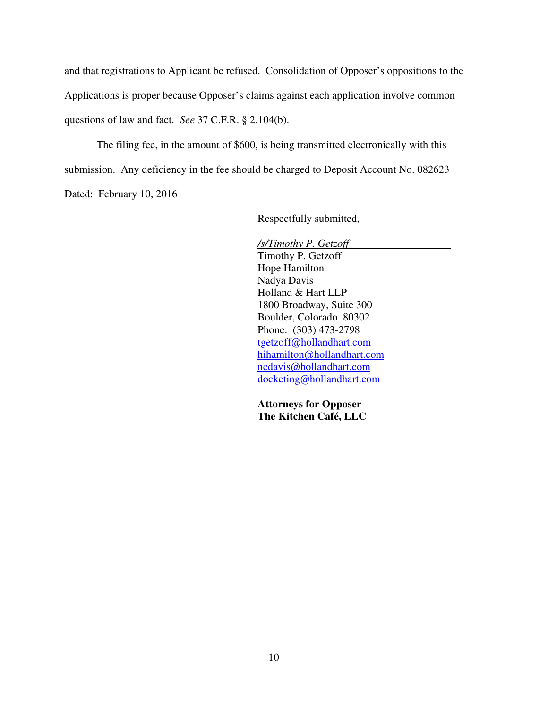and that registrations to Applicant be refused. Consolidation of Opposer's oppositions to the Applications is proper because Opposer's claims against each application involve common questions of law and fact. *See* 37 C.F.R. § 2.104(b).

The filing fee, in the amount of \$600, is being transmitted electronically with this submission. Any deficiency in the fee should be charged to Deposit Account No. 082623 Dated: February 10, 2016

Respectfully submitted,

*/s/Timothy P. Getzoff*  Timothy P. Getzoff Hope Hamilton Nadya Davis Holland & Hart LLP 1800 Broadway, Suite 300 Boulder, Colorado 80302 Phone: (303) 473-2798 tgetzoff@hollandhart.com hihamilton@hollandhart.com ncdavis@hollandhart.com docketing@hollandhart.com

**Attorneys for Opposer The Kitchen Café, LLC**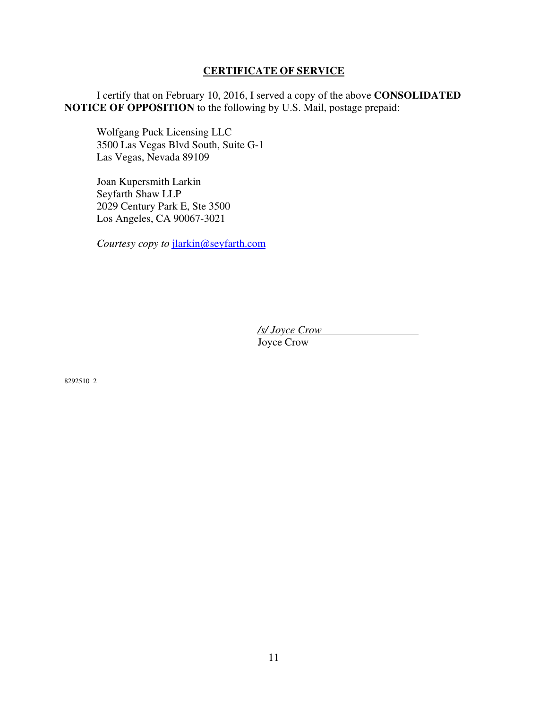### **CERTIFICATE OF SERVICE**

I certify that on February 10, 2016, I served a copy of the above **CONSOLIDATED NOTICE OF OPPOSITION** to the following by U.S. Mail, postage prepaid:

Wolfgang Puck Licensing LLC 3500 Las Vegas Blvd South, Suite G-1 Las Vegas, Nevada 89109

Joan Kupersmith Larkin Seyfarth Shaw LLP 2029 Century Park E, Ste 3500 Los Angeles, CA 90067-3021

*Courtesy copy to* jlarkin@seyfarth.com

*/s/ Joyce Crow*  Joyce Crow

8292510\_2